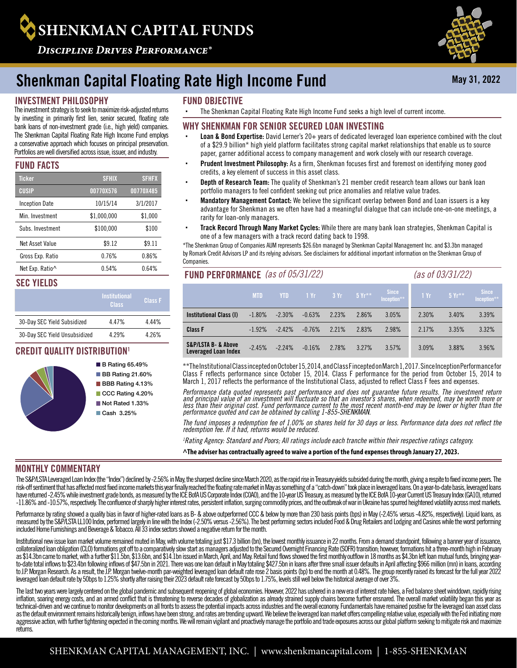# **SHENKMAN CAPITAL FUNDS**

**DISCIPLINE DRIVES PERFORMANCE®** 

## Shenkman Capital Floating Rate High Income Fund

#### INVESTMENT PHILOSOPHY

by investing in primarily first lien, senior secured, floating rate bank loans of non-investment grade (i.e., high yield) companies. The Shenkman Capital Floating Rate High Income Fund employs a conservative approach which focuses on principal preservation. Portfolios are well diversified across issue, issuer, and industry.

#### FUND FACTS

| <b>Ticker</b>         | <b>SFHIX</b> | <b>SFHFX</b> |
|-----------------------|--------------|--------------|
| CUSIP                 | 00770X576    | 00770X485    |
| <b>Inception Date</b> | 10/15/14     | 3/1/2017     |
| Min Investment        | \$1,000,000  | \$1,000      |
| Subs Investment       | \$100.000    | \$100        |
| Net Asset Value       | \$9.12       | \$9.11       |
| Gross Exp. Ratio      | 0.76%        | 0.86%        |
| Net Exp. Ratio^       | 0.54%        | 0.64%        |

#### SEC YIELDS

|                               | <b>Institutional</b><br>Class | <b>Class F</b> |
|-------------------------------|-------------------------------|----------------|
| 30-Day SEC Yield Subsidized   | 447%                          | 4 44%          |
| 30-Day SEC Yield Unsubsidized | 4 2 9 %                       | 4 26%          |

#### CREDIT QUALITY DISTRIBUTION1



- **B** Rating 65.49% **BB** Rating 21.60% **BBB** Rating 4.13% CCC Rating 4.20%
- Not Rated 1.33% Cash 3.25%

#### FUND OBJECTIVE

The investment strategy is to seek to maximize risk-adjusted returns Facham Capital Floating Rate High Income Fund seeks a high level of current income.

#### WHY SHENKMAN FOR SENIOR SECURED LOAN INVESTING

- Loan & Bond Expertise: David Lerner's 20+ years of dedicated leveraged loan experience combined with the clout of a \$29.9 billion\* high yield platform facilitates strong capital market relationships that enable us to source paper, garner additional access to company management and work closely with our research coverage.
- Prudent Investment Philosophy: As a firm, Shenkman focuses first and foremost on identifying money good credits, a key element of success in this asset class.
- Depth of Research Team: The quality of Shenkman's 21 member credit research team allows our bank loan portfolio managers to feel confident seeking out price anomalies and relative value trades.
- Mandatory Management Contact: We believe the significant overlap between Bond and Loan issuers is a key advantage for Shenkman as we often have had a meaningful dialogue that can include one-on-one meetings, a rarity for loan-only managers.
- Track Record Through Many Market Cycles: While there are many bank loan strategies, Shenkman Capital is one of a few managers with a track record dating back to 1998.

\*The Shenkman Group of Companies AUM represents \$26.6bn managed by Shenkman Capital Management Inc. and \$3.3bn managed by Romark Credit Advisors LP and its relying advisors. See disclaimers for additional important information on the Shenkman Group of **Companies** 

#### FUND PERFORMANCE *(as of 05/31/22) (as of 03/31/22)*

|                                                            | <b>MTD</b> | <b>YTD</b> | $/1$ Yr $/$ | $-3Yr$ | $-5Yr^{**}$ | Since<br>Inception** | 1Yr   | $5Yr**$ | Since |
|------------------------------------------------------------|------------|------------|-------------|--------|-------------|----------------------|-------|---------|-------|
| Institutional Class (I)                                    | $-1.80\%$  | $-2.30\%$  | $-0.63%$    | 2.23%  | 2.86%       | 3.05%                | 2.30% | 3.40%   | 3.39% |
| <b>Class F</b>                                             | $-1.92%$   | $-2.42%$   | $-0.76%$    | 2.21%  | 2.83%       | 2.98%                | 2.17% | 3.35%   | 3.32% |
| <b>S&amp;P/LSTA B- &amp; Above</b><br>Leveraged Loan Index | $-2.45%$   | $-2.24%$   | $-0.16%$    | 2.78%  | 3.27%       | 3.57%                | 3.09% | 3.88%   | 3.96% |

\*\*The Institutional Class incepted on October 15, 2014, and Class F incepted on March 1, 2017. Since Inception Performance for Class F reflects performance since October 15, 2014. Class F performance for the period from October 15, 2014 to March 1, 2017 reflects the performance of the Institutional Class, adjusted to reflect Class F fees and expenses.

*Performance data quoted represents past performance and does not guarantee future results. The investment return and principal value of an investment will fluctuate so that an investor's shares, when redeemed, may be worth more or less than their original cost. Fund performance current to the most recent month-end may be lower or higher than the performance quoted and can be obtained by calling 1-855-SHENKMAN.*

*The fund imposes a redemption fee of 1.00% on shares held for 30 days or less. Performance data does not reflect the redemption fee. If it had, returns would be reduced.* 

*1 Rating Agency: Standard and Poors; All ratings include each tranche within their respective ratings category.*

**^The adviser has contractually agreed to waive a portion of the fund expenses through January 27, 2023.**

#### MONTHLY COMMENTARY

The S&P/LSTA Leveraged Loan Index (the "Index") declined by -2.56% in May, the sharpest decline since March 2020, as the rapid rise in Treasury yields subsided during the month, giving a respite to fixed income peers. The risk-off sentiment that has affected most fixed income markets this year finally reached the floating rate market in May as something of a "catch-down" took place in leveraged loans. On a year-to-date basis, leveraged loan have returned -2.45% while investment grade bonds, as measured by the ICE BofA US Corporate Index (COAO), and the 10-year US Treasury, as measured by the ICE BofA 10-year Current US Treasury Index (GA10), returned -11.86% and -10.57%, respectively. The confluence of sharply higher interest rates, persistent inflation, surging commodity prices, and the outbreak of war in Ukraine has spurred heightened volatility across most markets.

Performance by rating showed a quality bias in favor of higher-rated loans as B- & above outperformed CCC & below by more than 230 basis points (bps) in May (-2.45% versus -4.82%, respectively). Liquid loans, as measured by the S&P/LSTA LL100 Index, performed largely in line with the Index (-2.50% versus -2.56%). The best performing sectors included Food & Drug Retailers and Lodging and Casinos while the worst performing included Home Furnishings and Beverage & Tobacco. All 33 index sectors showed a negative return for the month.

Institutional new issue loan market volume remained muted in May, with volume totaling just \$17.3 billion (bn), the lowest monthly issuance in 22 months. From a demand standpoint, following a banner year of issuance, collateralized loan obligation (CLO) formations got off to a comparatively slow start as managers adjusted to the Secured Overnight Financing Rate (SOFR) transition; however, formations hit a three-month high in February as \$14.3bn came to market, with a further \$11.5bn, \$13.6bn, and \$14.1bn issued in March, April, and May. Retail fund flows showed the first monthly outflow in 18 months as \$4.3bn left loan mutual funds, bringing yearto-date total inflows to \$23.4bn following inflows of \$47.5bn in 2021. There was one loan default in May totaling \$427.5bn in loans after three small issuer defaults in April affecting \$966 million (mn) in loans, according to J.P. Morgan Research. As a result, the J.P. Morgan twelve-month par-weighted leveraged loan default rate rose 2 basis points (bp) to end the month at 0.48%. The group recently raised its forecast for the full year 2022 leveraged loan default rate by 50bps to 1.25% shortly after raising their 2023 default rate forecast by 50bps to 1.75%, levels still well below the historical average of over 3%.

The last two years were largely centered on the global pandemic and subsequent reopening of global economies. However, 2022 has ushered in a new era of interest rate hikes, a Fed balance sheet winddown, rapidly rising inflation, soaring energy costs, and an armed conflict that is threatening to reverse decades of globalization as already strained supply chains become further ensnared. The overall market volatility began this year as technical-driven and we continue to monitor developments on all fronts to assess the potential impacts across industries and the overall economy. Fundamentals have remained positive for the leveraged loan asset class as the default environment remains historically benign, inflows have been strong, and rates are trending upward. We believe the leveraged loan market offers compelling relative value, especially with the Fed initiating mor aggressive action, with further tightening expected in the coming months. We will remain vigilant and proactively manage the portfolio and trade exposures across our global platform seeking to mitigate risk and maximize returns.